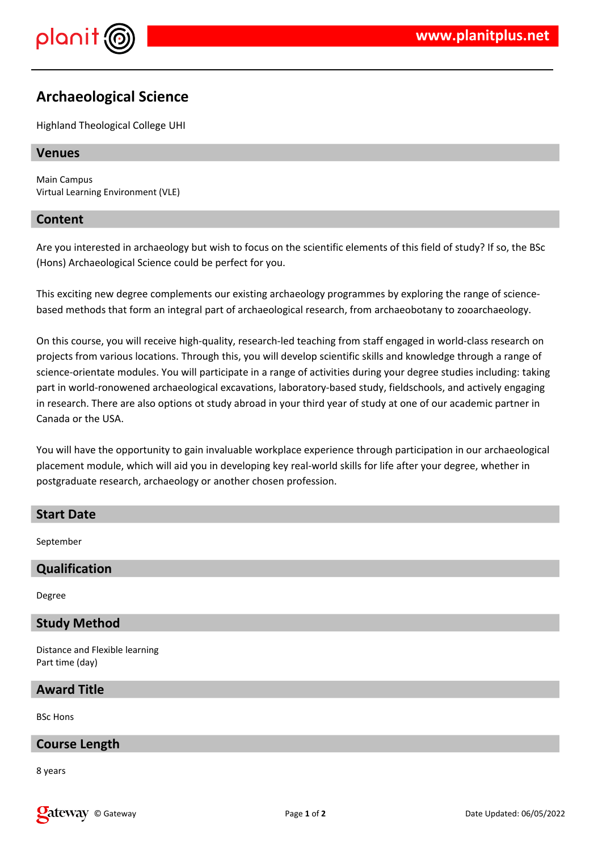

# **Archaeological Science**

Highland Theological College UHI

### **Venues**

Main Campus Virtual Learning Environment (VLE)

### **Content**

Are you interested in archaeology but wish to focus on the scientific elements of this field of study? If so, the BSc (Hons) Archaeological Science could be perfect for you.

This exciting new degree complements our existing archaeology programmes by exploring the range of sciencebased methods that form an integral part of archaeological research, from archaeobotany to zooarchaeology.

On this course, you will receive high-quality, research-led teaching from staff engaged in world-class research on projects from various locations. Through this, you will develop scientific skills and knowledge through a range of science-orientate modules. You will participate in a range of activities during your degree studies including: taking part in world-ronowened archaeological excavations, laboratory-based study, fieldschools, and actively engaging in research. There are also options ot study abroad in your third year of study at one of our academic partner in Canada or the USA.

You will have the opportunity to gain invaluable workplace experience through participation in our archaeological placement module, which will aid you in developing key real-world skills for life after your degree, whether in postgraduate research, archaeology or another chosen profession.

## **Start Date**

September

# **Qualification**

Degree

### **Study Method**

Distance and Flexible learning Part time (day)

### **Award Title**

BSc Hons

### **Course Length**

8 years